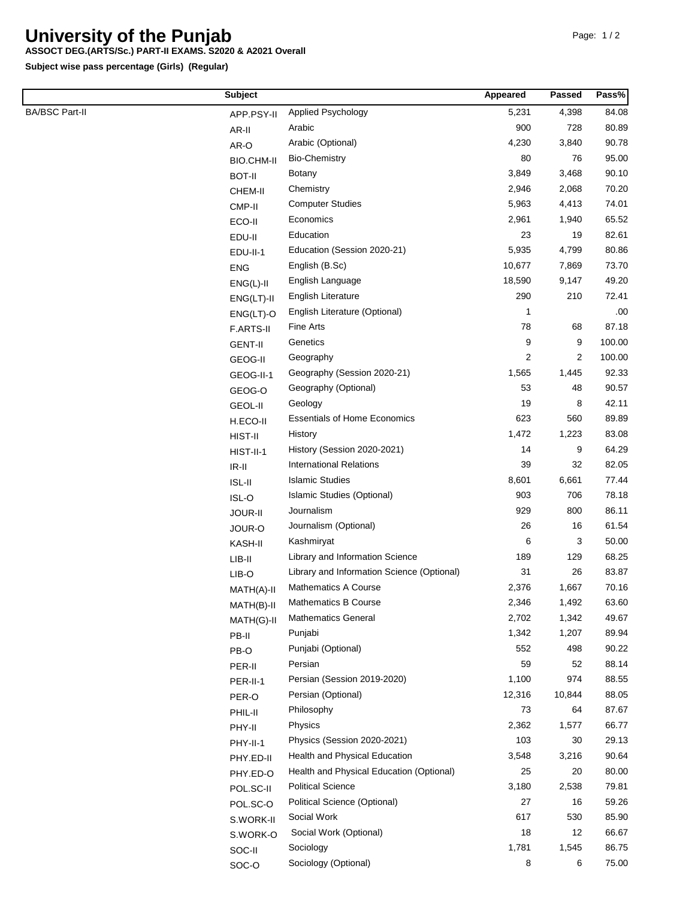## **University of the Punjab**

## **ASSOCT DEG.(ARTS/Sc.) PART-II EXAMS. S2020 & A2021 Overall**

**Subject wise pass percentage (Girls) (Regular)**

|                       | <b>Subject</b>    |                                            | Appeared | Passed | Pass%  |
|-----------------------|-------------------|--------------------------------------------|----------|--------|--------|
| <b>BA/BSC Part-II</b> | APP.PSY-II        | <b>Applied Psychology</b>                  | 5,231    | 4,398  | 84.08  |
|                       | AR-II             | Arabic                                     | 900      | 728    | 80.89  |
|                       | AR-O              | Arabic (Optional)                          | 4,230    | 3,840  | 90.78  |
|                       | <b>BIO.CHM-II</b> | <b>Bio-Chemistry</b>                       | 80       | 76     | 95.00  |
|                       | <b>BOT-II</b>     | <b>Botany</b>                              | 3,849    | 3,468  | 90.10  |
|                       | CHEM-II           | Chemistry                                  | 2,946    | 2,068  | 70.20  |
|                       | CMP-II            | <b>Computer Studies</b>                    | 5,963    | 4,413  | 74.01  |
|                       | ECO-II            | Economics                                  | 2,961    | 1,940  | 65.52  |
|                       | EDU-II            | Education                                  | 23       | 19     | 82.61  |
|                       | EDU-II-1          | Education (Session 2020-21)                | 5,935    | 4,799  | 80.86  |
|                       | ENG               | English (B.Sc)                             | 10,677   | 7,869  | 73.70  |
|                       | $ENG(L)-II$       | English Language                           | 18,590   | 9,147  | 49.20  |
|                       | $ENG(LT)-II$      | <b>English Literature</b>                  | 290      | 210    | 72.41  |
|                       | $ENG(LT)-O$       | English Literature (Optional)              | 1        |        | .00.   |
|                       | F.ARTS-II         | Fine Arts                                  | 78       | 68     | 87.18  |
|                       | <b>GENT-II</b>    | Genetics                                   | 9        | 9      | 100.00 |
|                       | GEOG-II           | Geography                                  | 2        | 2      | 100.00 |
|                       | GEOG-II-1         | Geography (Session 2020-21)                | 1,565    | 1,445  | 92.33  |
|                       | GEOG-O            | Geography (Optional)                       | 53       | 48     | 90.57  |
|                       | <b>GEOL-II</b>    | Geology                                    | 19       | 8      | 42.11  |
|                       | H.ECO-II          | <b>Essentials of Home Economics</b>        | 623      | 560    | 89.89  |
|                       | HIST-II           | History                                    | 1,472    | 1,223  | 83.08  |
|                       | $HIST-II-1$       | History (Session 2020-2021)                | 14       | 9      | 64.29  |
|                       | $IR-II$           | <b>International Relations</b>             | 39       | 32     | 82.05  |
|                       | ISL-II            | <b>Islamic Studies</b>                     | 8,601    | 6,661  | 77.44  |
|                       | ISL-O             | Islamic Studies (Optional)                 | 903      | 706    | 78.18  |
|                       | <b>JOUR-II</b>    | Journalism                                 | 929      | 800    | 86.11  |
|                       | JOUR-O            | Journalism (Optional)                      | 26       | 16     | 61.54  |
|                       | KASH-II           | Kashmiryat                                 | 6        | 3      | 50.00  |
|                       | LIB-II            | Library and Information Science            | 189      | 129    | 68.25  |
|                       | LIB-O             | Library and Information Science (Optional) | 31       | 26     | 83.87  |
|                       | MATH(A)-II        | <b>Mathematics A Course</b>                | 2,376    | 1,667  | 70.16  |
|                       | MATH(B)-II        | Mathematics B Course                       | 2,346    | 1,492  | 63.60  |
|                       | MATH(G)-II        | <b>Mathematics General</b>                 | 2,702    | 1,342  | 49.67  |
|                       | PB-II             | Punjabi                                    | 1,342    | 1,207  | 89.94  |
|                       | PB-O              | Punjabi (Optional)                         | 552      | 498    | 90.22  |
|                       | PER-II            | Persian                                    | 59       | 52     | 88.14  |
|                       | PER-II-1          | Persian (Session 2019-2020)                | 1,100    | 974    | 88.55  |
|                       | PER-O             | Persian (Optional)                         | 12,316   | 10,844 | 88.05  |
|                       | PHIL-II           | Philosophy                                 | 73       | 64     | 87.67  |
|                       | PHY-II            | Physics                                    | 2,362    | 1,577  | 66.77  |
|                       | PHY-II-1          | Physics (Session 2020-2021)                | 103      | 30     | 29.13  |
|                       | PHY.ED-II         | Health and Physical Education              | 3,548    | 3,216  | 90.64  |
|                       | PHY.ED-O          | Health and Physical Education (Optional)   | 25       | 20     | 80.00  |
|                       | POL.SC-II         | <b>Political Science</b>                   | 3,180    | 2,538  | 79.81  |
|                       | POL.SC-O          | Political Science (Optional)               | 27       | 16     | 59.26  |
|                       | S.WORK-II         | Social Work                                | 617      | 530    | 85.90  |
|                       | S.WORK-O          | Social Work (Optional)                     | 18       | 12     | 66.67  |
|                       | SOC-II            | Sociology                                  | 1,781    | 1,545  | 86.75  |
|                       | SOC-O             | Sociology (Optional)                       | 8        | 6      | 75.00  |
|                       |                   |                                            |          |        |        |